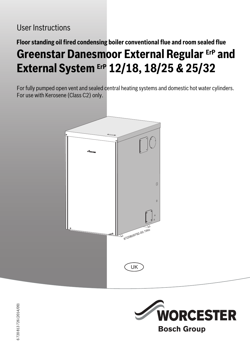# **Floor standing oil fired condensing boiler conventional flue and room sealed flue Greenstar Danesmoor External Regular ErP and External System ErP 12/18, 18/25 & 25/32**

For fully pumped open vent and sealed central heating systems and domestic hot water cylinders. For use with Kerosene (Class C2) only.





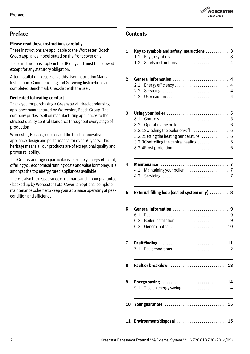

# **Preface**

# **Please read these instructions carefully**

These instructions are applicable to the Worcester, Bosch Group appliance model stated on the front cover only.

These instructions apply in the UK only and must be followed except for any statutory obligation.

After installation please leave this User instruction Manual, Installation, Commissioning and Servicing Instructions and completed Benchmark Checklist with the user.

## **Dedicated to heating comfort**

Thank you for purchasing a Greenstar oil-fired condensing appliance manufactured by Worcester, Bosch Group. The company prides itself on manufacturing appliances to the strictest quality control standards throughout every stage of production.

Worcester, Bosch group has led the field in innovative appliance design and performance for over 50 years. This heritage means all our products are of exceptional quality and proven reliability.

The Greenstar range in particular is extremely energy efficient, offering you economical running costs and value for money. It is amongst the top energy rated appliances available.

There is also the reassurance of our parts and labour guarantee - backed up by Worcester Total Cover, an optional complete maintenance scheme to keep your appliance operating at peak condition and efficiency.

# **Contents**

| 7.1<br>9.1        | Fault or breakdown  13<br>Energy saving  14<br>Tips on energy saving $\dots\dots\dots\dots\dots\dots\dots$ 14                           |
|-------------------|-----------------------------------------------------------------------------------------------------------------------------------------|
|                   |                                                                                                                                         |
|                   |                                                                                                                                         |
|                   |                                                                                                                                         |
| 6.1<br>6.2<br>6.3 | <b>Boiler installation</b>                                                                                                              |
|                   | External filling loop (sealed system only)  8                                                                                           |
| 4.1<br>4.2        |                                                                                                                                         |
|                   | 3.2.2 Setting the heating temperature<br>$3.2.3$ Controlling the central heating $\ldots \ldots \ldots \ldots$<br>3.2.4Frost protection |
| 3.1<br>3.2        | Using your boiler<br>Operating the boiler<br>3.2.1 Switching the boiler on/off                                                          |
| 2.1<br>2.2<br>2.3 | General Information<br>Energy efficiency<br>Servicing $\ldots \ldots \ldots \ldots \ldots \ldots \ldots \ldots \ldots$                  |
| 1.1<br>1.2        | Key to symbols and safety instructions  3                                                                                               |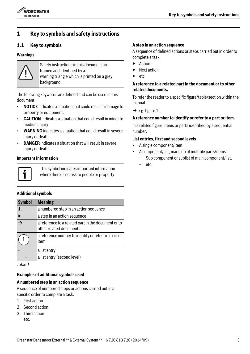

# **1 Key to symbols and safety instructions**

## <span id="page-2-0"></span>**1.1 Key to symbols**

#### **Warnings**



Safety instructions in this document are framed and identified by a warning triangle which is printed on a grey background.

The following keywords are defined and can be used in this document:

- **NOTICE** indicates a situation that could result in damage to property or equipment.
- **CAUTION** indicates a situation that could result in minor to medium injury.
- **WARNING** indicates a situation that could result in severe injury or death.
- **DANGER** indicates a situation that will result in severe injury or death.

#### **Important information**



This symbol indicates important information where there is no risk to people or property.

#### **Additional symbols**

| <b>Symbol</b>            | <b>Meaning</b>                                                                 |
|--------------------------|--------------------------------------------------------------------------------|
| 1.                       | a numbered step in an action sequence                                          |
|                          | a step in an action sequence                                                   |
| $\overline{\rightarrow}$ | a reference to a related part in the document or to<br>other related documents |
|                          | a reference number to identify or refer to a part or<br>item                   |
|                          | a list entry                                                                   |
|                          | a list entry (second level)                                                    |

*Table 1*

#### **Examples of additional symbols used**

## **A numbered step in an action sequence**

A sequence of numbered steps or actions carried out in a specific order to complete a task.

- 1. First action
- 2. Second action
- 3. Third action etc.

#### **A step in an action sequence**

A sequence of defined actions or steps carried out in order to complete a task.

- ▶ Action
- **Next action**
- etc.

## **A reference to a related part in the document or to other related documents.**

To refer the reader to a specific figure/table/section within the manual.

 $\rightarrow$  e.g. figure 1.

#### **A reference number to identify or refer to a part or item.**

In a related figure, items or parts identified by a sequential number.

## **List entries, first and second levels**

- A single component/item
- A component/list, made up of multiple parts/items.
	- Sub component or sublist of main component/list.
	- etc.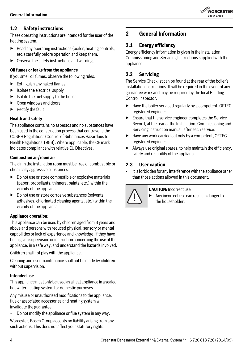

## <span id="page-3-0"></span>**1.2 Safety instructions**

These operating instructions are intended for the user of the heating system.

- $\blacktriangleright$  Read any operating instructions (boiler, heating controls, etc.) carefully before operation and keep them.
- $\triangleright$  Observe the safety instructions and warnings.

## **Oil fumes or leaks from the appliance**

If you smell oil fumes, observe the following rules.

- $\blacktriangleright$  Extinguish any naked flames
- $\blacktriangleright$  Isolate the electrical supply
- $\blacktriangleright$  Isolate the fuel supply to the boiler
- ▶ Open windows and doors
- **Rectify the fault**

## **Health and safety**

The appliance contains no asbestos and no substances have been used in the construction process that contravene the COSHH Regulations (Control of Substances Hazardous to Health Regulations 1988). Where applicable, the CE mark indicates compliance with relative EU Directives.

## **Combustion air/room air**

The air in the installation room must be free of combustible or chemically aggressive substances.

- $\triangleright$  Do not use or store combustible or explosive materials (paper, propellants, thinners, paints, etc.) within the vicinity of the appliance.
- $\triangleright$  Do not use or store corrosive substances (solvents, adhesives, chlorinated cleaning agents, etc.) within the vicinity of the appliance.

#### **Appliance operation:**

This appliance can be used by children aged from 8 years and above and persons with reduced physical, sensory or mental capabilities or lack of experience and knowledge, if they have been given supervision or instruction concerning the use of the appliance, in a safe way, and understand the hazards involved.

Children shall not play with the appliance.

Cleaning and user maintenance shall not be made by children without supervision.

## **Intended use**

This appliance must only be used as a heat appliance in a sealed hot water heating system for domestic purposes.

Any misuse or unauthorised modifications to the appliance, flue or associated accessories and heating system will invalidate the guarantee.

• Do not modify the appliance or flue system in any way.

Worcester, Bosch Group accepts no liability arising from any such actions. This does not affect your statutory rights.

# <span id="page-3-1"></span>**2 General Information**

## <span id="page-3-2"></span>**2.1 Energy efficiency**

Energy efficiency information is given in the Installation, Commissioning and Servicing Instructions supplied with the appliance.

## <span id="page-3-3"></span>**2.2 Servicing**

The Service Checklist can be found at the rear of the boiler's installation instructions. It will be required in the event of any guarantee work and may be required by the local Building Control Inspector.

- $\blacktriangleright$  Have the boiler serviced regularly by a competent, OFTEC registered engineer.
- $\blacktriangleright$  Ensure that the service engineer completes the Service Record, at the rear of the Installation, Commissioning and Servicing Instruction manual, after each service.
- ▶ Have any work carried out only by a competent, OFTEC registered engineer.
- $\blacktriangleright$  Always use original spares, to help maintain the efficiency, safety and reliability of the appliance.

## <span id="page-3-4"></span>**2.3 User caution**

It is forbidden for any interference with the appliance other than those actions allowed in this document.



#### **CAUTION:** Incorrect use

▶ Any incorrect use can result in danger to the householder.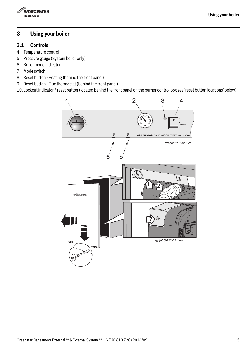

# <span id="page-4-0"></span>**3 Using your boiler**

## <span id="page-4-1"></span>**3.1 Controls**

- 4. Temperature control
- 5. Pressure gauge (System boiler only)
- 6. Boiler mode indicator
- 7. Mode switch
- 8. Reset button Heating (behind the front panel)
- 9. Reset button Flue thermostat (behind the front panel)
- 10. Lockout indicator / reset button (located behind the front panel on the burner control box see 'reset button locations' below).

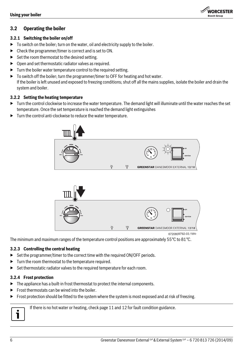## <span id="page-5-0"></span>**3.2 Operating the boiler**

### <span id="page-5-1"></span>**3.2.1 Switching the boiler on/off**

- ▶ To switch on the boiler; turn on the water, oil and electricity supply to the boiler.
- ▶ Check the programmer/timer is correct and is set to ON.
- $\triangleright$  Set the room thermostat to the desired setting.
- $\triangleright$  Open and set thermostatic radiator valves as required.
- ▶ Turn the boiler water temperature control to the required setting.
- ▶ To switch off the boiler; turn the programmer/timer to OFF for heating and hot water. If the boiler is left unused and exposed to freezing conditions; shut off all the mains supplies, isolate the boiler and drain the system and boiler.

**WORCESTER Bosch Group** 

## <span id="page-5-2"></span>**3.2.2 Setting the heating temperature**

- $\triangleright$  Turn the control clockwise to increase the water temperature. The demand light will illuminate until the water reaches the set temperature. Once the set temperature is reached the demand light extinguishes
- $\blacktriangleright$  Turn the control anti-clockwise to reduce the water temperature.





The minimum and maximum ranges of the temperature control positions are approximately 55°C to 81°C.

## <span id="page-5-3"></span>**3.2.3 Controlling the central heating**

- ▶ Set the programmer/timer to the correct time with the required ON/OFF periods.
- ▶ Turn the room thermostat to the temperature required.
- ▶ Set thermostatic radiator valves to the required temperature for each room.

## <span id="page-5-4"></span>**3.2.4 Frost protection**

- ▶ The appliance has a built-in frost thermostat to protect the internal components.
- $\blacktriangleright$  Frost thermostats can be wired into the boiler.
- ▶ Frost protection should be fitted to the system where the system is most exposed and at risk of freezing.



If there is no hot water or heating, check pag[e 11](#page-10-0) an[d 12](#page-11-0) for fault condition guidance.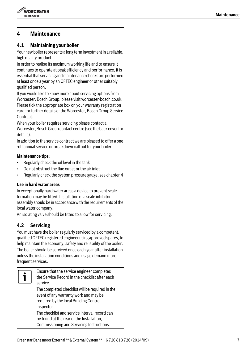

# <span id="page-6-0"></span>**4 Maintenance**

## <span id="page-6-1"></span>**4.1 Maintaining your boiler**

Your new boiler represents a long term investment in a reliable, high quality product.

In order to realise its maximum working life and to ensure it continues to operate at peak efficiency and performance, it is essential that servicing and maintenance checks are performed at least once a year by an OFTEC engineer or other suitably qualified person.

If you would like to know more about servicing options from Worcester, Bosch Group, please visit worcester-bosch.co.uk. Please tick the appropriate box on your warranty registration card for further details of the Worcester, Bosch Group Service Contract.

When your boiler requires servicing please contact a Worcester, Bosch Group contact centre (see the back cover for details).

In addition to the service contract we are pleased to offer a one -off annual service or breakdown call out for your boiler.

#### **Maintenance tips:**

- Regularly check the oil level in the tank
- Do not obstruct the flue outlet or the air inlet
- Regularly check the system pressure gauge, see chapter 4

## **Use in hard water areas**

In exceptionally hard water areas a device to prevent scale formation may be fitted. Installation of a scale inhibitor assembly should be in accordance with the requirements of the local water company.

An isolating valve should be fitted to allow for servicing.

## <span id="page-6-2"></span>**4.2 Servicing**

You must have the boiler regularly serviced by a competent, qualified OFTEC registered engineer using approved spares, to help maintain the economy, safety and reliability of the boiler. The boiler should be serviced once each year after installation unless the installation conditions and usage demand more frequent services.



Ensure that the service engineer completes the Service Record in the checklist after each service.

The completed checklist will be required in the event of any warranty work and may be required by the local Building Control Inspector.

The checklist and service interval record can be found at the rear of the Installation, Commissioning and Servicing Instructions.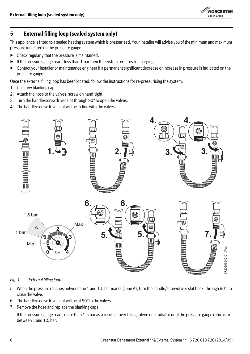

# <span id="page-7-0"></span>**5 External filling loop (sealed system only)**

This appliance is fitted to a sealed heating system which is pressurised. Your installer will advise you of the minimum and maximum pressure indicated on the pressure gauge.

- $\blacktriangleright$  Check regularly that the pressure is maintained.
- $\blacktriangleright$  If the pressure gauge reads less than 1 bar then the system requires re-charging.
- ▶ Contact your installer or maintenance engineer if a permanent significant decrease or increase in pressure is indicated on the pressure gauge.

Once the external filling loop has been located, follow the instructions for re-pressurising the system.

- 1. Unscrew blanking cap.
- 2. Attach the hose to the valves, screw on hand-tight.
- 3. Turn the handle/screwdriver slot through 90° to open the valves.
- 4. The handle/screwdriver slot will be in-line with the valves



<span id="page-7-1"></span>*Fig. 1 External filling loop*

- 5. When the pressure reaches between the 1 and 1.5 bar marks (zone A), turn the handle/screwdriver slot back, through 90°, to close the valve.
- 6. The handle/screwdriver slot will be at 90° to the valves
- 7. Remove the hose and replace the blanking caps.

If the pressure gauge reads more than 1.5 bar as a result of over filling, bleed one radiator until the pressure gauge returns to between 1 and 1.5 bar.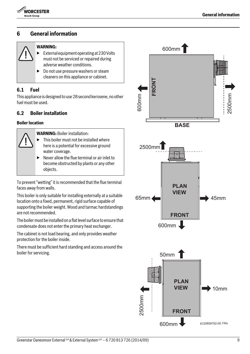

# <span id="page-8-0"></span>**6 General information**

## **WARNING:**

- External equipment operating at 230 Volts must not be serviced or repaired during adverse weather conditions.
- ▶ Do not use pressure washers or steam cleaners on this appliance or cabinet.

## <span id="page-8-1"></span>**6.1 Fuel**

This appliance is designed to use 28 second kerosene, no other fuel must be used.

## <span id="page-8-2"></span>**6.2 Boiler installation**

#### **Boiler location**

**WARNING:** Boiler installation:

- This boiler must not be installed where here is a potential for excessive ground water coverage.
- $\blacktriangleright$  Never allow the flue terminal or air inlet to become obstructed by plants or any other objects.

To prevent "wetting" it is recommended that the flue terminal faces away from walls.

This boiler is only suitable for installing externally at a suitable location onto a fixed, permanent, rigid surface capable of supporting the boiler weight. Wood and tarmac hardstandings are not recommended.

The boiler must be installed on a flat level surface to ensure that condensate does not enter the primary heat exchanger.

The cabinet is not load bearing, and only provides weather protection for the boiler inside.

There must be sufficient hard standing and access around the boiler for servicing.

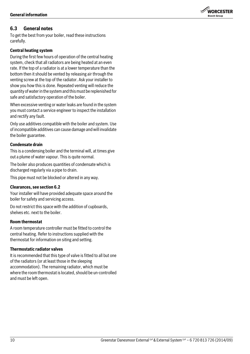## <span id="page-9-0"></span>**6.3 General notes**

To get the best from your boiler, read these instructions carefully.

## **Central heating system**

During the first few hours of operation of the central heating system, check that all radiators are being heated at an even rate. If the top of a radiator is at a lower temperature than the bottom then it should be vented by releasing air through the venting screw at the top of the radiator. Ask your installer to show you how this is done. Repeated venting will reduce the quantity of water in the system and this must be replenished for safe and satisfactory operation of the boiler.

When excessive venting or water leaks are found in the system you must contact a service engineer to inspect the installation and rectify any fault.

Only use additives compatible with the boiler and system. Use of incompatible additives can cause damage and will invalidate the boiler guarantee.

## **Condensate drain**

This is a condensing boiler and the terminal will, at times give out a plume of water vapour. This is quite normal.

The boiler also produces quantities of condensate which is discharged regularly via a pipe to drain.

This pipe must not be blocked or altered in any way.

## **Clearances, see section [6.2](#page-8-2)**

Your installer will have provided adequate space around the boiler for safety and servicing access.

Do not restrict this space with the addition of cupboards, shelves etc. next to the boiler.

## **Room thermostat**

A room temperature controller must be fitted to control the central heating. Refer to instructions supplied with the thermostat for information on siting and setting.

#### **Thermostatic radiator valves**

It is recommended that this type of valve is fitted to all but one of the radiators (or at least those in the sleeping accommodation). The remaining radiator, which must be where the room thermostat is located, should be un-controlled and must be left open.

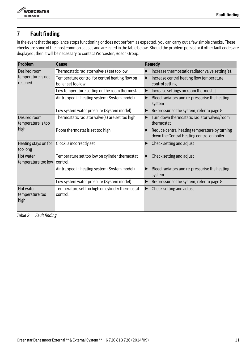

# <span id="page-10-0"></span>**7 Fault finding**

In the event that the appliance stops functioning or does not perform as expected, you can carry out a few simple checks. These checks are some of the most common causes and are listed in the table below. Should the problem persist or if other fault codes are displayed, then it will be necessary to contact Worcester, Bosch Group.

| <b>Problem</b>                             | <b>Cause</b>                                                          | Remedy                                                                                      |
|--------------------------------------------|-----------------------------------------------------------------------|---------------------------------------------------------------------------------------------|
| Desired room                               | Thermostatic radiator valve(s) set too low                            | Increase thermostatic radiator valve setting(s).                                            |
| temperature is not<br>reached              | Temperature control for central heating flow on<br>boiler set too low | Increase central heating flow temperature<br>▶<br>control setting                           |
|                                            | Low temperature setting on the room thermostat                        | Increase settings on room thermostat                                                        |
|                                            | Air trapped in heating system (System model)                          | Bleed radiators and re-pressurise the heating<br>▶<br>system                                |
|                                            | Low system water pressure (System model)                              | Re-pressurise the system, refer to page 8                                                   |
| Desired room<br>temperature is too<br>high | Thermostatic radiator valve(s) are set too high                       | Turn down thermostatic radiator valves/room<br>thermostat                                   |
|                                            | Room thermostat is set too high                                       | Reduce central heating temperature by turning<br>down the Central Heating control on boiler |
| Heating stays on for<br>too long           | Clock is incorrectly set                                              | Check setting and adjust                                                                    |
| Hot water<br>temperature too low           | Temperature set too low on cylinder thermostat<br>control.            | Check setting and adjust                                                                    |
|                                            | Air trapped in heating system (System model)                          | Bleed radiators and re-pressurise the heating<br>system                                     |
|                                            | Low system water pressure (System model)                              | Re-pressurise the system, refer to page 8                                                   |
| Hot water<br>temperature too<br>high       | Temperature set too high on cylinder thermostat<br>control.           | Check setting and adjust<br>▶                                                               |

*Table 2 Fault finding*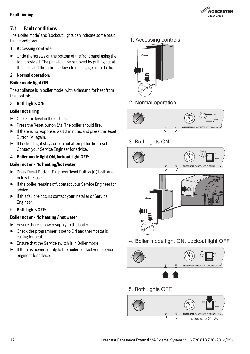

## <span id="page-11-0"></span>**7.1 Fault conditions**

The 'Boiler mode' and 'Lockout' lights can indicate some basic fault conditions:

## 1. **Accessing controls:**

 $\blacktriangleright$  Undo the screws on the bottom of the front panel using the tool provided. The panel can be removed by pulling out at the base and then sliding down to disengage from the lid.

## 2. **Normal operation:**

## **Boiler mode light ON**

The appliance is in boiler mode, with a demand for heat from the controls.

## 3. **Both lights ON:**

## **Boiler not firing**

- $\blacktriangleright$  Check the level in the oil tank.
- $\blacktriangleright$  Press the Reset button (A). The boiler should fire.
- ▶ If there is no response, wait 2 minutes and press the Reset Button (A) again.
- ▶ If Lockout light stays on, do not attempt further resets. Contact your Service Engineer for advice.
- 4. **Boiler mode light ON, lockout light OFF:**

## **Boiler not on - No heating/hot water**

- ▶ Press Reset Button (B), press Reset Button (C) both are below the fascia.
- ▶ If the boiler remains off, contact your Service Engineer for advice.
- ▶ If this fault re-occurs contact your Installer or Service Engineer.
- 5. **Both lights OFF:**

## **Boiler not on - No heating / hot water**

- $\blacktriangleright$  Ensure there is power supply to the boiler.
- $\triangleright$  Check the programmer is set to ON and thermostat is calling for heat.
- $\blacktriangleright$  Ensure that the Service switch is in Boiler mode.
- ▶ If there is power supply to the boiler contact your service engineer for advice.

1. Accessing controls



2. Normal operation



3. Both lights ON



4. Boiler mode light ON, Lockout light OFF



5. Both lights OFF

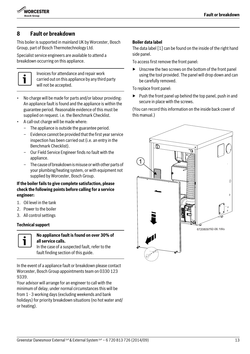

# <span id="page-12-0"></span>**8 Fault or breakdown**

This boiler is supported in mainland UK by Worcester, Bosch Group, part of Bosch Thermotechnology Ltd.

Specialist service engineers are available to attend a breakdown occurring on this appliance.



Invoices for attendance and repair work carried out on this appliance by any third party will not be accepted.

- No charge will be made for parts and/or labour providing: An appliance fault is found and the appliance is within the guarantee period. Reasonable evidence of this must be supplied on request. i.e. the Benchmark Checklist.
- A call-out charge will be made where:
	- The appliance is outside the guarantee period.
	- Evidence cannot be provided that the first year service inspection has been carried out (i.e. an entry in the Benchmark Checklist).
	- Our Field Service Engineer finds no fault with the appliance.
	- The cause of breakdown is misuse or with other parts of your plumbing/heating system, or with equipment not supplied by Worcester, Bosch Group.

## **If the boiler fails to give complete satisfaction, please check the following points before calling for a service engineer:**

- 1. Oil level in the tank
- 2. Power to the boiler
- 3. All control settings

#### **Technical support**



## **No appliance fault is found on over 30% of all service calls.**

In the case of a suspected fault, refer to the fault finding section of this guide.

In the event of a appliance fault or breakdown please contact Worcester, Bosch Group appointments team on 0330 123 9339.

Your advisor will arrange for an engineer to call with the minimum of delay; under normal circumstances this will be from 1 - 3 working days (excluding weekends and bank holidays) for priority breakdown situations (no hot water and/ or heating).

### **Boiler data label**

The data label [1] can be found on the inside of the right hand side panel.

To access first remove the front panel:

▶ Unscrew the two screws on the bottom of the front panel using the tool provided. The panel will drop down and can be carefully removed.

To replace front panel:

 $\blacktriangleright$  Push the front panel up behind the top panel, push in and secure in place with the screws.

(You can record this information on the inside back cover of this manual.)

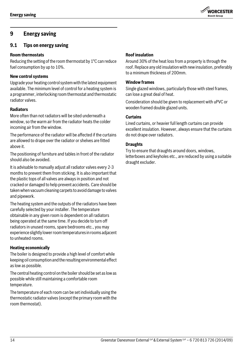# <span id="page-13-0"></span>**9 Energy saving**

## <span id="page-13-1"></span>**9.1 Tips on energy saving**

## **Room thermostats**

Reducing the setting of the room thermostat by 1°C can reduce fuel consumption by up to 10%.

## **New control systems**

Upgrade your heating control system with the latest equipment available. The minimum level of control for a heating system is a programmer, interlocking room thermostat and thermostatic radiator valves.

## **Radiators**

More often than not radiators will be sited underneath a window, so the warm air from the radiator heats the colder incoming air from the window.

The performance of the radiator will be affected if the curtains are allowed to drape over the radiator or shelves are fitted above it.

The positioning of furniture and tables in front of the radiator should also be avoided.

It is advisable to manually adjust all radiator valves every 2-3 months to prevent them from sticking. It is also important that the plastic tops of all valves are always in position and not cracked or damaged to help prevent accidents. Care should be taken when vacuum cleaning carpets to avoid damage to valves and pipework.

The heating system and the outputs of the radiators have been carefully selected by your installer. The temperature obtainable in any given room is dependent on all radiators being operated at the same time. If you decide to turn off radiators in unused rooms, spare bedrooms etc., you may experience slightly lower room temperatures in rooms adjacent to unheated rooms.

#### **Heating economically**

The boiler is designed to provide a high level of comfort while keeping oil consumption and the resulting environmental effect as low as possible.

The central heating control on the boiler should be set as low as possible while still maintaining a comfortable room temperature.

The temperature of each room can be set individually using the thermostatic radiator valves (except the primary room with the room thermostat).

## **Roof insulation**

Around 30% of the heat loss from a property is through the roof. Replace any old insulation with new insulation, preferably to a minimum thickness of 200mm.

**WORCESTER Bosch Group** 

## **Window frames**

Single glazed windows, particularly those with steel frames, can lose a great deal of heat.

Consideration should be given to replacement with uPVC or wooden framed double glazed units.

#### **Curtains**

Lined curtains, or heavier full length curtains can provide excellent insulation. However, always ensure that the curtains do not drape over radiators.

#### **Draughts**

Try to ensure that draughts around doors, windows, letterboxes and keyholes etc., are reduced by using a suitable draught excluder.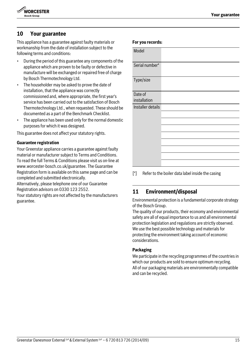# <span id="page-14-0"></span>**10 Your guarantee**

This appliance has a guarantee against faulty materials or workmanship from the date of installation subject to the following terms and conditions:

- During the period of this guarantee any components of appliance which are proven to be faulty or defective in manufacture will be exchanged or repaired free of cha by Bosch Thermotechnology Ltd.
- The householder may be asked to prove the date of installation, that the appliance was correctly commissioned and, where appropriate, the first year's service has been carried out to the satisfaction of Bos Thermotechnology Ltd., when requested. These should be documented as a part of the Benchmark Checklist.
- The appliance has been used only for the normal dom purposes for which it was designed.

This guarantee does not affect your statutory rights.

#### **Guarantee registration**

Your Greenstar appliance carries a guarantee against fault material or manufacturer subject to Terms and Condition To read the full Terms & Conditions please visit us on-line www.worcester-bosch.co.uk/guarantee. The Guarantee Registration form is available on this same page and can b completed and submitted electronically.

Alternatively, please telephone one of our Guarantee Registration advisors on 0330 123 2552.

Your statutory rights are not affected by the manufacturers guarantee.

| of the     |                                                         |  |  |  |
|------------|---------------------------------------------------------|--|--|--|
| n<br>arge  | Serial number*                                          |  |  |  |
|            | Type/size                                               |  |  |  |
| 's<br>sch  | Date of<br>installation                                 |  |  |  |
| ıld be     | Installer details                                       |  |  |  |
| ıestic     |                                                         |  |  |  |
|            |                                                         |  |  |  |
|            |                                                         |  |  |  |
|            |                                                         |  |  |  |
| lty        |                                                         |  |  |  |
| s.<br>at : |                                                         |  |  |  |
|            |                                                         |  |  |  |
| эe         | [*]<br>Refer to the boiler data label inside the casing |  |  |  |

**For you records:**

Model

# <span id="page-14-1"></span>**11 Environment/disposal**

Environmental protection is a fundamental corporate strategy of the Bosch Group.

The quality of our products, their economy and environmental safety are all of equal importance to us and all environmental protection legislation and regulations are strictly observed. We use the best possible technology and materials for protecting the environment taking account of economic considerations.

## **Packaging**

We participate in the recycling programmes of the countries in which our products are sold to ensure optimum recycling. All of our packaging materials are environmentally compatible and can be recycled.